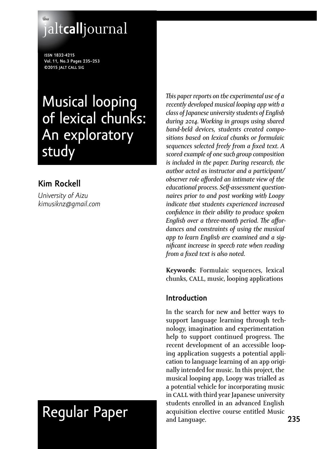## **the** jalt**call**journal

**issn 1832-4215 Vol. 11, No.3 Pages 235–253 ©2015 jalt call sig**

## Musical looping of lexical chunks: An exploratory study

## **Kim Rockell**

*University of Aizu [kimusiknz@gmail.com](mailto:kimusiknz@gmail.com)*

# Regular Paper

*This paper reports on the experimental use of a recently developed musical looping app with a class of Japanese university students of English during 2014. Working in groups using shared hand-held devices, students created compositions based on lexical chunks or formulaic sequences selected freely from a fixed text. A scored example of one such group composition is included in the paper. During research, the author acted as instructor and a participant/ observer role afforded an intimate view of the educational process. Self-assessment questionnaires prior to and post working with Loopy indicate that students experienced increased confidence in their ability to produce spoken English over a three-month period. The affordances and constraints of using the musical app to learn English are examined and a significant increase in speech rate when reading from a fixed text is also noted.*

**Keywords**: Formulaic sequences, lexical chunks, call, music, looping applications

#### **Introduction**

In the search for new and better ways to support language learning through technology, imagination and experimentation help to support continued progress. The recent development of an accessible looping application suggests a potential application to language learning of an app originally intended for music. In this project, the musical looping app, Loopy was trialled as a potential vehicle for incorporating music in CALL with third year Japanese university students enrolled in an advanced English acquisition elective course entitled Music and Language.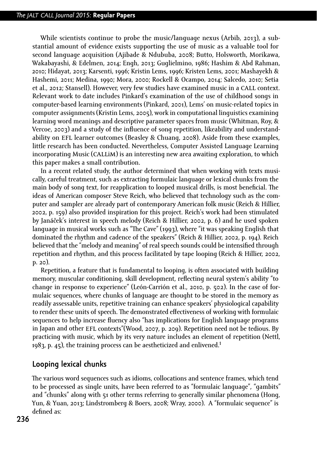While scientists continue to probe the music/language nexus (Arbib, 2013), a substantial amount of evidence exists supporting the use of music as a valuable tool for second language acquisition (Ajibade & Ndububa, 2008; Butto, Holsworth, Morikawa, Wakabayashi, & Edelmen, 2014; Engh, 2013; Guglielmino, 1986; Hashim & Abd Rahman, 2010; Hidayat, 2013; Karsenti, 1996; Kristin Lems, 1996; Kristen Lems, 2001; Mashayekh & Hashemi, 2011; Medina, 1990; Mora, 2000; Rockell & Ocampo, 2014; Salcedo, 2010; Setia et al., 2012; Stansell). However, very few studies have examined music in a call context. Relevant work to date includes Pinkard's examination of the use of childhood songs in computer-based learning environments (Pinkard, 2001), Lems' on music-related topics in computer assignments (Kristin Lems, 2005), work in computational linguistics examining learning word meanings and descriptive parameter spaces from music (Whitman, Roy, & Vercoe, 2003) and a study of the influence of song repetition, likeability and understandability on efl learner outcomes (Beasley & Chuang, 2008). Aside from these examples, little research has been conducted. Nevertheless, Computer Assisted Language Learning incorporating Music (callim) is an interesting new area awaiting exploration, to which this paper makes a small contribution.

In a recent related study, the author determined that when working with texts musically, careful treatment, such as extracting formulaic language or lexical chunks from the main body of song text, for reapplication to looped musical drills, is most beneficial. The ideas of American composer Steve Reich, who believed that technology such as the computer and sampler are already part of contemporary American folk music (Reich & Hillier, 2002, p. 159) also provided inspiration for this project. Reich's work had been stimulated by Janáček's interest in speech melody (Reich & Hillier, 2002, p. 6) and he used spoken language in musical works such as "The Cave" (1993), where "it was speaking English that dominated the rhythm and cadence of the speakers" (Reich & Hillier, 2002, p. 194). Reich believed that the "melody and meaning" of real speech sounds could be intensified through repetition and rhythm, and this process facilitated by tape looping (Reich & Hillier, 2002, p. 20).

Repetition, a feature that is fundamental to looping, is often associated with building memory, muscular conditioning, skill development, reflecting neural system's ability "to change in response to experience" (León-Carrión et al., 2010, p. 502). In the case of formulaic sequences, where chunks of language are thought to be stored in the memory as readily assessable units, repetitive training can enhance speakers' physiological capability to render these units of speech. The demonstrated effectiveness of working with formulaic sequences to help increase fluency also "has implications for English language programs in Japan and other efl contexts"(Wood, 2007, p. 209). Repetition need not be tedious. By practicing with music, which by its very nature includes an element of repetition (Nettl, 1983, p. 45), the training process can be aestheticized and enlivened.**<sup>1</sup>**

#### **Looping lexical chunks**

The various word sequences such as idioms, collocations and sentence frames, which tend to be processed as single units, have been referred to as "formulaic language", "gambits" and "chunks" along with 51 other terms referring to generally similar phenomena (Hong, Yun, & Yuan, 2013; Lindstromberg & Boers, 2008; Wray, 2000). A "formulaic sequence" is defined as: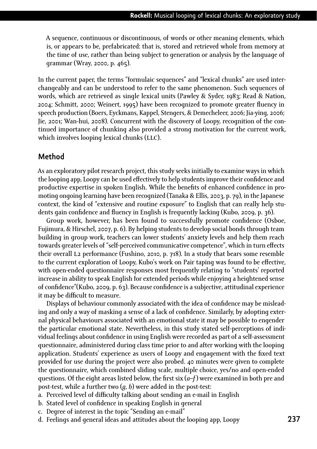A sequence, continuous or discontinuous, of words or other meaning elements, which is, or appears to be, prefabricated: that is, stored and retrieved whole from memory at the time of use, rather than being subject to generation or analysis by the language of grammar (Wray, 2000, p. 465).

In the current paper, the terms "formulaic sequences" and "lexical chunks" are used interchangeably and can be understood to refer to the same phenomenon. Such sequences of words, which are retrieved as single lexical units (Pawley & Syder, 1983; Read & Nation, 2004; Schmitt, 2000; Weinert, 1995) have been recognized to promote greater fluency in speech production (Boers, Eyckmans, Kappel, Stengers, & Demecheleer, 2006; Jia-ying, 2006; Jie, 2001; Wan-hui, 2008). Concurrent with the discovery of Loopy, recognition of the continued importance of chunking also provided a strong motivation for the current work, which involves looping lexical chunks (LLC).

#### **Method**

As an exploratory pilot research project, this study seeks initially to examine ways in which the looping app, Loopy can be used effectively to help students improve their confidence and productive expertise in spoken English. While the benefits of enhanced confidence in promoting ongoing learning have been recognized (Tanaka & Ellis, 2003, p. 79), in the Japanese context, the kind of "extensive and routine exposure" to English that can really help students gain confidence and fluency in English is frequently lacking (Kubo, 2009, p. 36).

Group work, however, has been found to successfully promote confidence (Osboe, Fujimura, & Hirschel, 2007, p. 6). By helping students to develop social bonds through team building in group work, teachers can lower students' anxiety levels and help them reach towards greater levels of "self-perceived communicative competence", which in turn effects their overall l2 performance (Fushino, 2010, p. 718). In a study that bears some resemble to the current exploration of Loopy, Kubo's work on Pair taping was found to be effective, with open-ended questionnaire responses most frequently relating to "students' reported increase in ability to speak English for extended periods while enjoying a heightened sense of confidence"(Kubo, 2009, p. 63). Because confidence is a subjective, attitudinal experience it may be difficult to measure.

Displays of behaviour commonly associated with the idea of confidence may be misleading and only a way of masking a sense of a lack of confidence. Similarly, by adopting external physical behaviours associated with an emotional state it may be possible to engender the particular emotional state. Nevertheless, in this study stated self-perceptions of individual feelings about confidence in using English were recorded as part of a self-assessment questionnaire, administered during class time prior to and after working with the looping application. Students' experience as users of Loopy and engagement with the fixed text provided for use during the project were also probed. 40 minutes were given to complete the questionnaire, which combined sliding scale, multiple choice, yes/no and open-ended questions. Of the eight areas listed below, the first six (*a*–*f*) were examined in both pre and post-test, while a further two (*g*, *h*) were added in the post-test:

- a. Perceived level of difficulty talking about sending an e-mail in English
- b. Stated level of confidence in speaking English in general
- c. Degree of interest in the topic "Sending an e-mail"
- d. Feelings and general ideas and attitudes about the looping app, Loopy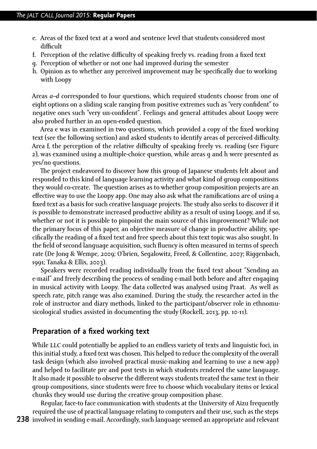- e. Areas of the fixed text at a word and sentence level that students considered most difficult
- f. Perception of the relative difficulty of speaking freely vs. reading from a fixed text
- g. Perception of whether or not one had improved during the semester
- h. Opinion as to whether any perceived improvement may be specifically due to working with Loopy

Areas *a–d* corresponded to four questions, which required students choose from one of eight options on a sliding scale ranging from positive extremes such as "very confident" to negative ones such "very un-confident". Feelings and general attitudes about Loopy were also probed further in an open-ended question.

Area e was in examined in two questions, which provided a copy of the fixed working text (see the following section) and asked students to identify areas of perceived difficulty. Area f, the perception of the relative difficulty of speaking freely vs. reading (see Figure 2), was examined using a multiple-choice question, while areas g and h were presented as yes/no questions.

The project endeavored to discover how this group of Japanese students felt about and responded to this kind of language learning activity and what kind of group compositions they would co-create. The question arises as to whether group composition projects are an effective way to use the Loopy app. One may also ask what the ramifications are of using a fixed text as a basis for such creative language projects. The study also seeks to discover if it is possible to demonstrate increased productive ability as a result of using Loopy, and if so, whether or not it is possible to pinpoint the main source of this improvement? While not the primary focus of this paper, an objective measure of change in productive ability, specifically the reading of a fixed text and free speech about this text topic was also sought. In the field of second language acquisition, such fluency is often measured in terms of speech rate (De Jong & Wempe, 2009; O'brien, Segalowitz, Freed, & Collentine, 2007; Riggenbach, 1991; Tanaka & Ellis, 2003).

Speakers were recorded reading individually from the fixed text about "Sending an e-mail" and freely describing the process of sending e-mail both before and after engaging in musical activity with Loopy. The data collected was analysed using Praat. As well as speech rate, pitch range was also examined. During the study, the researcher acted in the role of instructor and diary methods, linked to the participant/observer role in ethnomusicological studies assisted in documenting the study (Rockell, 2013, pp. 10-11).

#### **Preparation of a fixed working text**

While LLC could potentially be applied to an endless variety of texts and linguistic foci, in this initial study, a fixed text was chosen. This helped to reduce the complexity of the overall task design (which also involved practical music-making and learning to use a new app) and helped to facilitate pre and post tests in which students rendered the same language. It also made it possible to observe the different ways students treated the same text in their group compositions, since students were free to choose which vocabulary items or lexical chunks they would use during the creative group composition phase.

**238** involved in sending e-mail. Accordingly, such language seemed an appropriate and relevant Regular, face-to face communication with students at the University of Aizu frequently required the use of practical language relating to computers and their use, such as the steps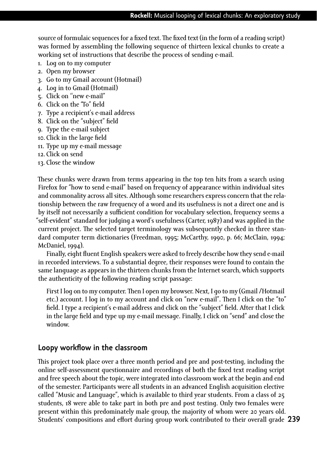source of formulaic sequences for a fixed text. The fixed text (in the form of a reading script) was formed by assembling the following sequence of thirteen lexical chunks to create a working set of instructions that describe the process of sending e-mail.

- 1. Log on to my computer
- 2. Open my browser
- 3. Go to my Gmail account (Hotmail)
- 4. Log in to Gmail (Hotmail)
- 5. Click on ''new e-mail"
- 6. Click on the "To" field
- 7. Type a recipient's e-mail address
- 8. Click on the "subject" field
- 9. Type the e-mail subject
- 10. Click in the large field
- 11. Type up my e-mail message
- 12. Click on send
- 13. Close the window

These chunks were drawn from terms appearing in the top ten hits from a search using Firefox for "how to send e-mail" based on frequency of appearance within individual sites and commonality across all sites. Although some researchers express concern that the relationship between the raw frequency of a word and its usefulness is not a direct one and is by itself not necessarily a sufficient condition for vocabulary selection, frequency seems a "self-evident" standard for judging a word's usefulness (Carter, 1987) and was applied in the current project. The selected target terminology was subsequently checked in three standard computer term dictionaries (Freedman, 1995; McCarthy, 1990, p. 66; McClain, 1994; McDaniel, 1994).

Finally, eight fluent English speakers were asked to freely describe how they send e-mail in recorded interviews. To a substantial degree, their responses were found to contain the same language as appears in the thirteen chunks from the Internet search, which supports the authenticity of the following reading script passage:

First I log on to my computer. Then I open my browser. Next, I go to my (Gmail /Hotmail etc.) account. I log in to my account and click on "new e-mail". Then I click on the "to" field. I type a recipient's e-mail address and click on the "subject" field. After that I click in the large field and type up my e-mail message. Finally, I click on "send" and close the window.

#### **Loopy workflow in the classroom**

**239** Students' compositions and effort during group work contributed to their overall grade This project took place over a three month period and pre and post-testing, including the online self-assessment questionnaire and recordings of both the fixed text reading script and free speech about the topic, were integrated into classroom work at the begin and end of the semester. Participants were all students in an advanced English acquisition elective called "Music and Language", which is available to third year students. From a class of 25 students, 18 were able to take part in both pre and post testing. Only two females were present within this predominately male group, the majority of whom were 20 years old.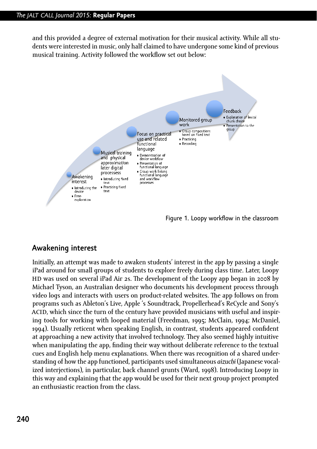and this provided a degree of external motivation for their musical activity. While all students were interested in music, only half claimed to have undergone some kind of previous musical training. Activity followed the workflow set out below:



Figure 1. Loopy workflow in the classroom

#### **Awakening interest**

Initially, an attempt was made to awaken students' interest in the app by passing a single iPad around for small groups of students to explore freely during class time. Later, Loopy HD was used on several iPad Air 2s. The development of the Loopy app began in 2008 by Michael Tyson, an Australian designer who documents his development process through video logs and interacts with users on product-related websites. The app follows on from programs such as Ableton's Live, Apple 's Soundtrack, Propellerhead's ReCycle and Sony's ACID, which since the turn of the century have provided musicians with useful and inspiring tools for working with looped material (Freedman, 1995; McClain, 1994; McDaniel, 1994). Usually reticent when speaking English, in contrast, students appeared confident at approaching a new activity that involved technology. They also seemed highly intuitive when manipulating the app, finding their way without deliberate reference to the textual cues and English help menu explanations. When there was recognition of a shared understanding of how the app functioned, participants used simultaneous *aizuchi* (Japanese vocalized interjections), in particular, back channel grunts (Ward, 1998). Introducing Loopy in this way and explaining that the app would be used for their next group project prompted an enthusiastic reaction from the class.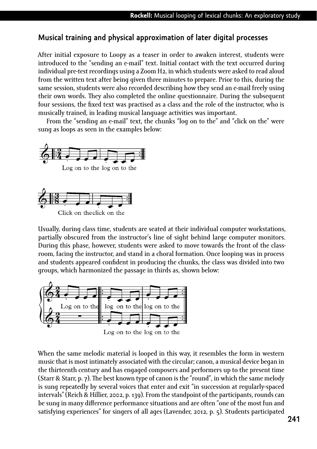#### **Musical training and physical approximation of later digital processes**

After initial exposure to Loopy as a teaser in order to awaken interest, students were introduced to the "sending an e-mail" text. Initial contact with the text occurred during individual pre-test recordings using a Zoom H2, in which students were asked to read aloud from the written text after being given three minutes to prepare. Prior to this, during the same session, students were also recorded describing how they send an e-mail freely using their own words. They also completed the online questionnaire. During the subsequent four sessions, the fixed text was practised as a class and the role of the instructor, who is musically trained, in leading musical language activities was important.

From the "sending an e-mail" text, the chunks "log on to the" and "click on the" were sung as loops as seen in the examples below:



Click on the click on the

Usually, during class time, students are seated at their individual computer workstations, partially obscured from the instructor's line of sight behind large computer monitors. During this phase, however, students were asked to move towards the front of the classroom, facing the instructor, and stand in a choral formation. Once looping was in process and students appeared confident in producing the chunks, the class was divided into two groups, which harmonized the passage in thirds as, shown below:



When the same melodic material is looped in this way, it resembles the form in western music that is most intimately associated with the circular; canon, a musical device began in the thirteenth century and has engaged composers and performers up to the present time (Starr & Starr, p. 7). The best known type of canon is the "round", in which the same melody is sung repeatedly by several voices that enter and exit "in succession at regularly-spaced intervals" (Reich & Hillier, 2002, p. 139). From the standpoint of the participants, rounds can be sung in many difference performance situations and are often "one of the most fun and satisfying experiences" for singers of all ages (Lavender, 2012, p. 5). Students participated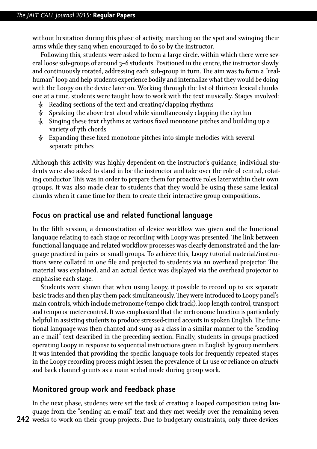without hesitation during this phase of activity, marching on the spot and swinging their arms while they sang when encouraged to do so by the instructor.

Following this, students were asked to form a large circle, within which there were several loose sub-groups of around 3–6 students. Positioned in the centre, the instructor slowly and continuously rotated, addressing each sub-group in turn. The aim was to form a "realhuman" loop and help students experience bodily and internalize what they would be doing with the Loopy on the device later on. Working through the list of thirteen lexical chunks one at a time, students were taught how to work with the text musically. Stages involved:

- $\lambda$  Reading sections of the text and creating/clapping rhythms
- Ȼ Speaking the above text aloud while simultaneously clapping the rhythm
- Ȼ Singing these text rhythms at various fixed monotone pitches and building up a variety of 7th chords
- Ȼ Expanding these fixed monotone pitches into simple melodies with several separate pitches

Although this activity was highly dependent on the instructor's guidance, individual students were also asked to stand in for the instructor and take over the role of central, rotating conductor. This was in order to prepare them for proactive roles later within their own groups. It was also made clear to students that they would be using these same lexical chunks when it came time for them to create their interactive group compositions.

#### **Focus on practical use and related functional language**

In the fifth session, a demonstration of device workflow was given and the functional language relating to each stage or recording with Loopy was presented. The link between functional language and related workflow processes was clearly demonstrated and the language practiced in pairs or small groups. To achieve this, Loopy tutorial material/instructions were collated in one file and projected to students via an overhead projector. The material was explained, and an actual device was displayed via the overhead projector to emphasise each stage.

Students were shown that when using Loopy, it possible to record up to six separate basic tracks and then play them pack simultaneously. They were introduced to Loopy panel's main controls, which include metronome (tempo click track), loop length control, transport and tempo or meter control. It was emphasized that the metronome function is particularly helpful in assisting students to produce stressed-timed accents in spoken English. The functional language was then chanted and sung as a class in a similar manner to the "sending an e-mail" text described in the preceding section. Finally, students in groups practiced operating Loopy in response to sequential instructions given in English by group members. It was intended that providing the specific language tools for frequently repeated stages in the Loopy recording process might lessen the prevalence of L<sub>1</sub> use or reliance on *aizuchi* and back channel grunts as a main verbal mode during group work.

#### **Monitored group work and feedback phase**

**242** weeks to work on their group projects. Due to budgetary constraints, only three devices In the next phase, students were set the task of creating a looped composition using language from the "sending an e-mail" text and they met weekly over the remaining seven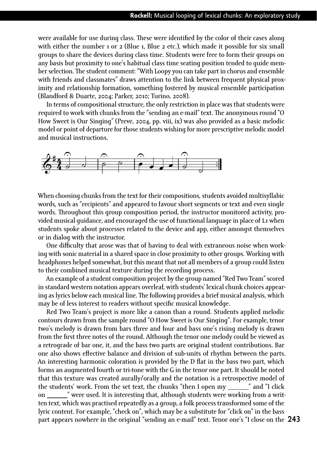were available for use during class. These were identified by the color of their cases along with either the number 1 or 2 (Blue 1, Blue 2 etc.), which made it possible for six small groups to share the devices during class time. Students were free to form their groups on any basis but proximity to one's habitual class time seating position tended to guide member selection. The student comment: "With Loopy you can take part in chorus and ensemble with friends and classmates" draws attention to the link between frequent physical proximity and relationship formation, something fostered by musical ensemble participation (Blandford & Duarte, 2004; Parker, 2010; Turino, 2008).

In terms of compositional structure, the only restriction in place was that students were required to work with chunks from the "sending an e-mail" text. The anonymous round "O How Sweet is Our Singing" (Preve, 2004, pp. viii, ix) was also provided as a basic melodic model or point of departure for those students wishing for more prescriptive melodic model and musical instructions.



When choosing chunks from the text for their compositions, students avoided multisyllabic words, such as "recipients" and appeared to favour short segments or text and even single words. Throughout this group composition period, the instructor monitored activity, provided musical guidance, and encouraged the use of functional language in place of L1 when students spoke about processes related to the device and app, either amongst themselves or in dialog with the instructor.

One difficulty that arose was that of having to deal with extraneous noise when working with sonic material in a shared space in close proximity to other groups. Working with headphones helped somewhat, but this meant that not all members of a group could listen to their combined musical texture during the recording process.

An example of a student composition project by the group named "Red Two Team" scored in standard western notation appears overleaf, with students' lexical chunk choices appearing as lyrics below each musical line. The following provides a brief musical analysis, which may be of less interest to readers without specific musical knowledge.

**243** part appears nowhere in the original "sending an e-mail" text. Tenor one's "I close on the Red Two Team's project is more like a canon than a round. Students applied melodic contours drawn from the sample round "O How Sweet is Our Singing". For example, tenor two's melody is drawn from bars three and four and bass one's rising melody is drawn from the first three notes of the round. Although the tenor one melody could be viewed as a retrograde of bar one, it, and the bass two parts are original student contributions. Bar one also shows effective balance and division of sub-units of rhythm between the parts. An interesting harmonic coloration is provided by the D flat in the bass two part, which forms an augmented fourth or tri-tone with the G in the tenor one part. It should be noted that this texture was created aurally/orally and the notation is a retrospective model of the students' work. From the set text, the chunks "then I open my " and "I click on \_\_\_\_\_\_\_\_" were used. It is interesting that, although students were working from a written text, which was practised repeatedly as a group, a folk process transformed some of the lyric content. For example, "check on", which may be a substitute for "click on" in the bass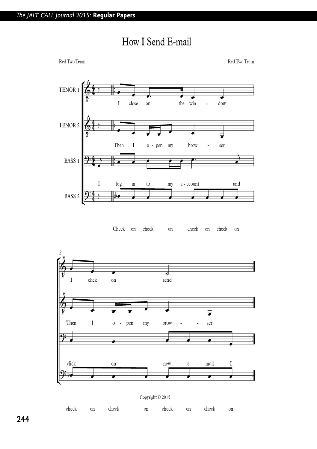

## How I Send E-mail

Check on check on check on





**244**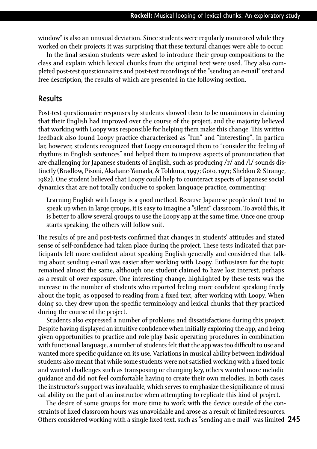window" is also an unusual deviation. Since students were regularly monitored while they worked on their projects it was surprising that these textural changes were able to occur.

In the final session students were asked to introduce their group compositions to the class and explain which lexical chunks from the original text were used. They also completed post-test questionnaires and post-test recordings of the "sending an e-mail" text and free description, the results of which are presented in the following section.

#### **Results**

Post-test questionnaire responses by students showed them to be unanimous in claiming that their English had improved over the course of the project, and the majority believed that working with Loopy was responsible for helping them make this change. This written feedback also found Loopy practice characterized as "fun" and "interesting". In particular, however, students recognized that Loopy encouraged them to "consider the feeling of rhythms in English sentences" and helped them to improve aspects of pronunciation that are challenging for Japanese students of English, such as producing /r/ and /l/ sounds distinctly (Bradlow, Pisoni, Akahane-Yamada, & Tohkura, 1997; Goto, 1971; Sheldon & Strange, 1982). One student believed that Loopy could help to counteract aspects of Japanese social dynamics that are not totally conducive to spoken language practice, commenting:

Learning English with Loopy is a good method. Because Japanese people don't tend to speak up when in large groups, it is easy to imagine a "silent" classroom. To avoid this, it is better to allow several groups to use the Loopy app at the same time. Once one group starts speaking, the others will follow suit.

The results of pre and post-tests confirmed that changes in students' attitudes and stated sense of self-confidence had taken place during the project. These tests indicated that participants felt more confident about speaking English generally and considered that talking about sending e-mail was easier after working with Loopy. Enthusiasm for the topic remained almost the same, although one student claimed to have lost interest, perhaps as a result of over-exposure. One interesting change, highlighted by these tests was the increase in the number of students who reported feeling more confident speaking freely about the topic, as opposed to reading from a fixed text, after working with Loopy. When doing so, they drew upon the specific terminology and lexical chunks that they practiced during the course of the project.

Students also expressed a number of problems and dissatisfactions during this project. Despite having displayed an intuitive confidence when initially exploring the app, and being given opportunities to practice and role-play basic operating procedures in combination with functional language, a number of students felt that the app was too difficult to use and wanted more specific guidance on its use. Variations in musical ability between individual students also meant that while some students were not satisfied working with a fixed tonic and wanted challenges such as transposing or changing key, others wanted more melodic guidance and did not feel comfortable having to create their own melodies. In both cases the instructor's support was invaluable, which serves to emphasize the significance of musical ability on the part of an instructor when attempting to replicate this kind of project.

Others considered working with a single fixed text, such as "sending an e-mail" was limited 245 The desire of some groups for more time to work with the device outside of the constraints of fixed classroom hours was unavoidable and arose as a result of limited resources.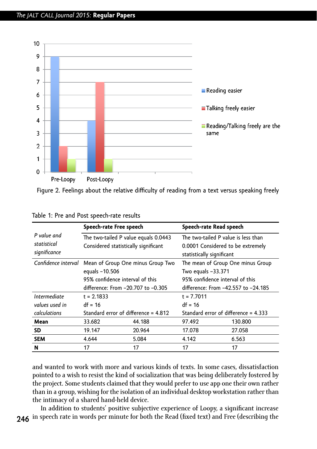

Figure 2. Feelings about the relative difficulty of reading from a text versus speaking freely

|                                            | Speech-rate Free speech                                                                                                      |        | Speech-rate Read speech                                                                               |         |  |
|--------------------------------------------|------------------------------------------------------------------------------------------------------------------------------|--------|-------------------------------------------------------------------------------------------------------|---------|--|
| P value and<br>statistical<br>significance | The two-tailed P value equals 0.0443<br>Considered statistically significant                                                 |        | The two-tailed P value is less than<br>0.0001 Considered to be extremely<br>statistically significant |         |  |
| Confidence interval                        | Mean of Group One minus Group Two<br>equals -10.506<br>95% confidence interval of this<br>difference: From -20.707 to -0.305 |        | The mean of Group One minus Group                                                                     |         |  |
|                                            |                                                                                                                              |        | Two equals -33.371                                                                                    |         |  |
|                                            |                                                                                                                              |        | 95% confidence interval of this                                                                       |         |  |
|                                            |                                                                                                                              |        | difference: From -42.557 to -24.185                                                                   |         |  |
| Intermediate                               | $t = 2.1833$                                                                                                                 |        | $t = 7.7011$                                                                                          |         |  |
| values used in                             | $df = 16$                                                                                                                    |        | $df = 16$                                                                                             |         |  |
| calculations                               | Standard error of difference = 4.812                                                                                         |        | Standard error of difference = $4.333$                                                                |         |  |
| Mean                                       | 33.682                                                                                                                       | 44.188 | 97.492                                                                                                | 130.800 |  |
| SD                                         | 19.147                                                                                                                       | 20.964 | 17.078                                                                                                | 27.058  |  |
| <b>SEM</b>                                 | 4.644                                                                                                                        | 5.084  | 4.142                                                                                                 | 6.563   |  |
| N                                          | 17                                                                                                                           | 17     | 17                                                                                                    | 17      |  |

|  |  |  |  | Table 1: Pre and Post speech-rate results |  |
|--|--|--|--|-------------------------------------------|--|
|--|--|--|--|-------------------------------------------|--|

and wanted to work with more and various kinds of texts. In some cases, dissatisfaction pointed to a wish to resist the kind of socialization that was being deliberately fostered by the project. Some students claimed that they would prefer to use app one their own rather than in a group, wishing for the isolation of an individual desktop workstation rather than the intimacy of a shared hand-held device.

**246** in speech rate in words per minute for both the Read (fixed text) and Free (describing the In addition to students' positive subjective experience of Loopy, a significant increase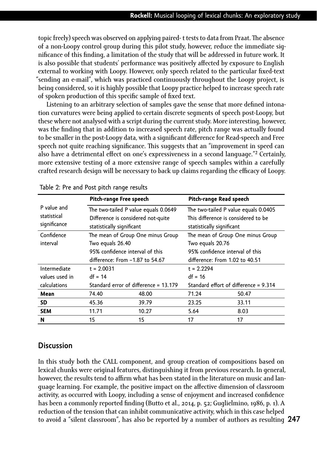topic freely) speech was observed on applying paired- t tests to data from Praat. The absence of a non-Loopy control group during this pilot study, however, reduce the immediate significance of this finding, a limitation of the study that will be addressed in future work. It is also possible that students' performance was positively affected by exposure to English external to working with Loopy. However, only speech related to the particular fixed-text "sending an e-mail", which was practiced continuously throughout the Loopy project, is being considered, so it is highly possible that Loopy practice helped to increase speech rate of spoken production of this specific sample of fixed text.

Listening to an arbitrary selection of samples gave the sense that more defined intonation curvatures were being applied to certain discrete segments of speech post-Loopy, but these where not analysed with a script during the current study. More interesting, however, was the finding that in addition to increased speech rate, pitch range was actually found to be smaller in the post-Loopy data, with a significant difference for Read-speech and Free speech not quite reaching significance. This suggests that an "improvement in speed can also have a detrimental effect on one's expressiveness in a second language."<sup>2</sup> Certainly, more extensive testing of a more extensive range of speech samples within a carefully crafted research design will be necessary to back up claims regarding the efficacy of Loopy.

|                             |                  | Pitch-range Free speech               | Pitch-range Read speech              |                                       |  |  |
|-----------------------------|------------------|---------------------------------------|--------------------------------------|---------------------------------------|--|--|
| P value and                 |                  | The two-tailed P value equals 0.0649  | The two-tailed P value equals 0.0405 |                                       |  |  |
| statistical<br>significance |                  | Difference is considered not-quite    | This difference is considered to be  |                                       |  |  |
|                             |                  | statistically significant             |                                      | statistically significant             |  |  |
| Confidence                  |                  | The mean of Group One minus Group     | The mean of Group One minus Group    |                                       |  |  |
| interval                    | Two equals 26.40 |                                       | Two equals 20.76                     |                                       |  |  |
|                             |                  | 95% confidence interval of this       | 95% confidence interval of this      |                                       |  |  |
|                             |                  | difference: From -1.87 to 54.67       |                                      | difference: From 1.02 to 40.51        |  |  |
| Intermediate                | $t = 2.0031$     |                                       | $t = 2.2294$                         |                                       |  |  |
| values used in              | $df = 14$        |                                       | $df = 16$                            |                                       |  |  |
| calculations                |                  | Standard error of difference = 13.179 |                                      | Standard effort of difference = 9.314 |  |  |
| Mean                        | 74.40            | 48.00                                 | 71.24                                | 50.47                                 |  |  |
| SD                          | 45.36            | 39.79                                 | 23.25                                | 33.11                                 |  |  |
| <b>SEM</b>                  | 11.71            | 10.27                                 | 5.64                                 | 8.03                                  |  |  |
| N                           | 15               | 15                                    | 17                                   | 17                                    |  |  |

| Table 2: Pre and Post pitch range results |  |  |  |  |  |  |
|-------------------------------------------|--|--|--|--|--|--|
|-------------------------------------------|--|--|--|--|--|--|

#### **Discussion**

**247** to avoid a "silent classroom", has also be reported by a number of authors as resulting In this study both the CALL component, and group creation of compositions based on lexical chunks were original features, distinguishing it from previous research. In general, however, the results tend to affirm what has been stated in the literature on music and language learning. For example, the positive impact on the affective dimension of classroom activity, as occurred with Loopy, including a sense of enjoyment and increased confidence has been a commonly reported finding (Butto et al., 2014, p. 52; Guglielmino, 1986, p. 1). A reduction of the tension that can inhibit communicative activity, which in this case helped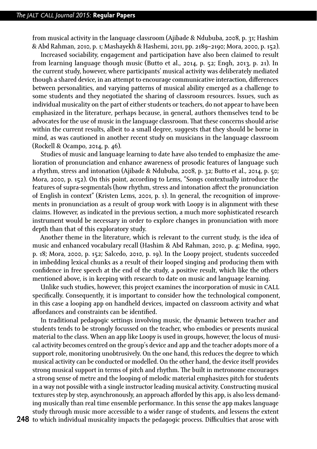from musical activity in the language classroom (Ajibade & Ndububa, 2008, p. 31; Hashim & Abd Rahman, 2010, p. 1; Mashayekh & Hashemi, 2011, pp. 2189–2190; Mora, 2000, p. 152).

Increased sociability, engagement and participation have also been claimed to result from learning language though music (Butto et al., 2014, p. 52; Engh, 2013, p. 21). In the current study, however, where participants' musical activity was deliberately mediated though a shared device, in an attempt to encourage communicative interaction, differences between personalities, and varying patterns of musical ability emerged as a challenge to some students and they negotiated the sharing of classroom resources. Issues, such as individual musicality on the part of either students or teachers, do not appear to have been emphasized in the literature, perhaps because, in general, authors themselves tend to be advocates for the use of music in the language classroom. That these concerns should arise within the current results, albeit to a small degree, suggests that they should be borne in mind, as was cautioned in another recent study on musicians in the language classroom (Rockell & Ocampo, 2014, p. 46).

Studies of music and language learning to date have also tended to emphasize the amelioration of pronunciation and enhance awareness of prosodic features of language such a rhythm, stress and intonation (Ajibade & Ndububa, 2008, p. 32; Butto et al., 2014, p. 50; Mora, 2000, p. 152). On this point, according to Lems, "Songs contextually introduce the features of supra-segmentals (how rhythm, stress and intonation affect the pronunciation of English in context" (Kristen Lems, 2001, p. 1). In general, the recognition of improvements in pronunciation as a result of group work with Loopy is in alignment with these claims. However, as indicated in the previous section, a much more sophisticated research instrument would be necessary in order to explore changes in pronunciation with more depth than that of this exploratory study.

Another theme in the literature, which is relevant to the current study, is the idea of music and enhanced vocabulary recall (Hashim & Abd Rahman, 2010, p. 4; Medina, 1990, p. 18; Mora, 2000, p. 152; Salcedo, 2010, p. 19). In the Loopy project, students succeeded in imbedding lexical chunks as a result of their looped singing and producing them with confidence in free speech at the end of the study, a positive result, which like the others mentioned above, is in keeping with research to date on music and language learning.

Unlike such studies, however, this project examines the incorporation of music in call specifically. Consequently, it is important to consider how the technological component, in this case a looping app on handheld devices, impacted on classroom activity and what affordances and constraints can be identified.

In traditional pedagogic settings involving music, the dynamic between teacher and students tends to be strongly focussed on the teacher, who embodies or presents musical material to the class. When an app like Loopy is used in groups, however, the locus of musical activity becomes centred on the group's device and app and the teacher adopts more of a support role, monitoring unobtrusively. On the one hand, this reduces the degree to which musical activity can be conducted or modelled. On the other hand, the device itself provides strong musical support in terms of pitch and rhythm. The built in metronome encourages a strong sense of metre and the looping of melodic material emphasizes pitch for students in a way not possible with a single instructor leading musical activity. Constructing musical textures step by step, asynchronously, an approach afforded by this app, is also less demanding musically than real time ensemble performance. In this sense the app makes language study through music more accessible to a wider range of students, and lessens the extent

**248** to which individual musicality impacts the pedagogic process. Difficulties that arose with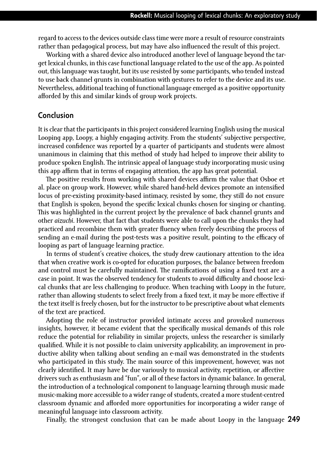regard to access to the devices outside class time were more a result of resource constraints rather than pedagogical process, but may have also influenced the result of this project.

Working with a shared device also introduced another level of language beyond the target lexical chunks, in this case functional language related to the use of the app. As pointed out, this language was taught, but its use resisted by some participants, who tended instead to use back channel grunts in combination with gestures to refer to the device and its use. Nevertheless, additional teaching of functional language emerged as a positive opportunity afforded by this and similar kinds of group work projects.

#### **Conclusion**

It is clear that the participants in this project considered learning English using the musical Looping app, Loopy, a highly engaging activity. From the students' subjective perspective, increased confidence was reported by a quarter of participants and students were almost unanimous in claiming that this method of study had helped to improve their ability to produce spoken English. The intrinsic appeal of language study incorporating music using this app affirm that in terms of engaging attention, the app has great potential.

The positive results from working with shared devices affirm the value that Osboe et al. place on group work. However, while shared hand-held devices promote an intensified locus of pre-existing proximity-based intimacy, resisted by some, they still do not ensure that English is spoken, beyond the specific lexical chunks chosen for singing or chanting. This was highlighted in the current project by the prevalence of back channel grunts and other *aizuchi*. However, that fact that students were able to call upon the chunks they had practiced and recombine them with greater fluency when freely describing the process of sending an e-mail during the post-tests was a positive result, pointing to the efficacy of looping as part of language learning practice.

In terms of student's creative choices, the study drew cautionary attention to the idea that when creative work is co-opted for education purposes, the balance between freedom and control must be carefully maintained. The ramifications of using a fixed text are a case in point. It was the observed tendency for students to avoid difficulty and choose lexical chunks that are less challenging to produce. When teaching with Loopy in the future, rather than allowing students to select freely from a fixed text, it may be more effective if the text itself is freely chosen, but for the instructor to be prescriptive about what elements of the text are practiced.

Adopting the role of instructor provided intimate access and provoked numerous insights, however, it became evident that the specifically musical demands of this role reduce the potential for reliability in similar projects, unless the researcher is similarly qualified. While it is not possible to claim university applicability, an improvement in productive ability when talking about sending an e-mail was demonstrated in the students who participated in this study. The main source of this improvement, however, was not clearly identified. It may have be due variously to musical activity, repetition, or affective drivers such as enthusiasm and "fun", or all of these factors in dynamic balance. In general, the introduction of a technological component to language learning through music made music-making more accessible to a wider range of students, created a more student-centred classroom dynamic and afforded more opportunities for incorporating a wider range of meaningful language into classroom activity.

Finally, the strongest conclusion that can be made about Loopy in the language 249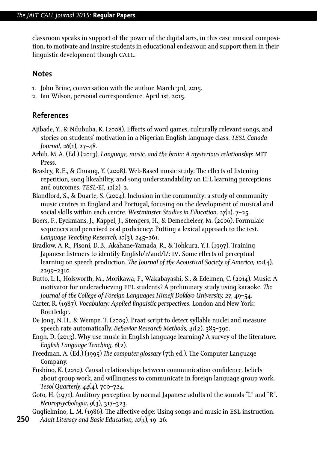classroom speaks in support of the power of the digital arts, in this case musical composition, to motivate and inspire students in educational endeavour, and support them in their linguistic development though call.

#### **Notes**

- 1. John Brine, conversation with the author. March 3rd, 2015.
- 2. Ian Wilson, personal correspondence. April 1st, 2015.

#### **References**

- Ajibade, Y., & Ndububa, K. (2008). Effects of word games, culturally relevant songs, and stories on students' motivation in a Nigerian English language class. *tesl Canada Journal, 26*(1), 27–48.
- Arbib, M.A. (Ed.) (2013). *Language, music, and the brain: A mysterious relationship*: mit Press.
- Beasley, R.E., & Chuang, Y. (2008). Web-Based music study: The effects of listening repetition, song likeability, and song understandability on EFL learning perceptions and outcomes. *tesl-*ej*, 12*(2), 2.
- Blandford, S., & Duarte, S. (2004). Inclusion in the community: a study of community music centres in England and Portugal, focusing on the development of musical and social skills within each centre. *Westminster Studies in Education, 27*(1), 7–25.
- Boers, F., Eyckmans, J., Kappel, J., Stengers, H., & Demecheleer, M. (2006). Formulaic sequences and perceived oral proficiency: Putting a lexical approach to the test. *Language Teaching Research, 10*(3), 245–261.
- Bradlow, A.R., Pisoni, D.B., Akahane-Yamada, R., & Tohkura, Y.I. (1997). Training Japanese listeners to identify English/r/and/l/: iv. Some effects of perceptual learning on speech production. *The Journal of the Acoustical Society of America, 101*(4), 2299–2310.
- Butto, L.I., Holsworth, M., Morikawa, F., Wakabayashi, S., & Edelmen, C. (2014). Music: A motivator for underachieving efl students? A preliminary study using karaoke. *The Journal of the College of Foreign Languages Himeji Dokkyo University, 27*, 49–54.
- Carter, R. (1987). *Vocabulary: Applied linguistic perspectives*. London and New York: Routledge.
- De Jong, N.H., & Wempe, T. (2009). Praat script to detect syllable nuclei and measure speech rate automatically. *Behavior Research Methods, 41*(2), 385–390.
- Engh, D. (2013). Why use music in English language learning? A survey of the literature. *English Language Teaching, 6*(2).
- Freedman, A. (Ed.) (1995) *The computer glossary* (7th ed.). The Computer Language Company.
- Fushino, K. (2010). Causal relationships between communication confidence, beliefs about group work, and willingness to communicate in foreign language group work. *Tesol Quarterly, 44*(4), 700–724.
- Goto, H. (1971). Auditory perception by normal Japanese adults of the sounds "L" and "R". *Neuropsychologia, 9*(3), 317–323.
- Guglielmino, L. M. (1986). The affective edge: Using songs and music in ESL instruction.
- **250** *Adult Literacy and Basic Education, 10*(1), 19–26.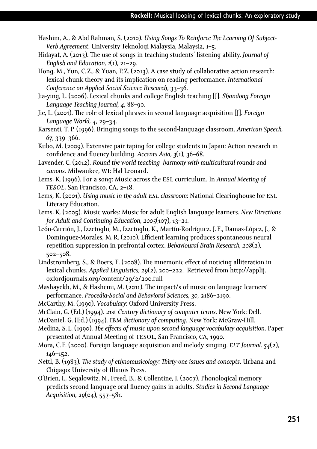- Hashim, A., & Abd Rahman, S. (2010). *Using Songs To Reinforce The Learning Of Subject-Verb Agreement*. University Teknologi Malaysia, Malaysia, 1–5.
- Hidayat, A. (2013). The use of songs in teaching students' listening ability. *Journal of English and Education, 1*(1), 21–29.
- Hong, M., Yun, C.Z., & Yuan, P.Z. (2013). A case study of collaborative action research: lexical chunk theory and its implication on reading performance. *International Conference on Applied Social Science Research*, 33–36.
- Jia-ying, L. (2006). Lexical chunks and college English teaching [J]. *Shandong Foreign Language Teaching Journal, 4*, 88–90.
- Jie, L. (2001). The role of lexical phrases in second language acquisition [J]. *Foreign Language World, 4*, 29–34.
- Karsenti, T. P. (1996). Bringing songs to the second-language classroom. *American Speech, 67*, 339–366.
- Kubo, M. (2009). Extensive pair taping for college students in Japan: Action research in confidence and fluency building. *Accents Asia, 3*(1), 36–68.
- Lavender, C. (2012). *Round the world teaching harmony with multicultural rounds and canons*. Milwaukee, wi: Hal Leonard.
- Lems, K. (1996). For a song: Music across the esl curriculum. In *Annual Meeting of tesol*, San Francisco, ca, 2–18.
- Lems, K. (2001). *Using music in the adult esl classroom*: National Clearinghouse for esl Literacy Education.
- Lems, K. (2005). Music works: Music for adult English language learners. *New Directions for Adult and Continuing Education, 2005*(107), 13–21.
- León-Carrión, J., Izzetoglu, M., Izzetoglu, K., Martín-Rodríguez, J. F., Damas-López, J., & Domínguez-Morales, M.R. (2010). Efficient learning produces spontaneous neural repetition suppression in prefrontal cortex. *Behavioural Brain Research, 208*(2), 502–508.
- Lindstromberg, S., & Boers, F. (2008). The mnemonic effect of noticing alliteration in lexical chunks. *Applied Linguistics, 29*(2), 200–222. Retrieved from http://applij. oxfordjournals.org/content/29/2/200.full
- Mashayekh, M., & Hashemi, M. (2011). The impact/s of music on language learners' performance. *Procedia-Social and Behavioral Sciences, 30*, 2186–2190.
- McCarthy, M. (1990). *Vocabulary*: Oxford University Press.
- McClain, G. (Ed.) (1994). *21*st *Century dictionary of computer terms*. New York: Dell.
- McDaniel, G. (Ed.) (1994). ibm *dictionary of computing*. New York: McGraw-Hill.
- Medina, S. L. (1990). *The effects of music upon second language vocabulary acquisition*. Paper presented at Annual Meeting of TESOL, San Francisco, CA, 1990.
- Mora, C. F. (2000). Foreign language acquisition and melody singing. *elt Journal, 54*(2), 146–152.
- Nettl, B. (1983). *The study of ethnomusicology: Thirty-one issues and concepts*. Urbana and Chigago: University of Illinois Press.
- O'Brien, I., Segalowitz, N., Freed, B., & Collentine, J. (2007). Phonological memory predicts second language oral fluency gains in adults. *Studies in Second Language Acquisition, 29*(04), 557–581.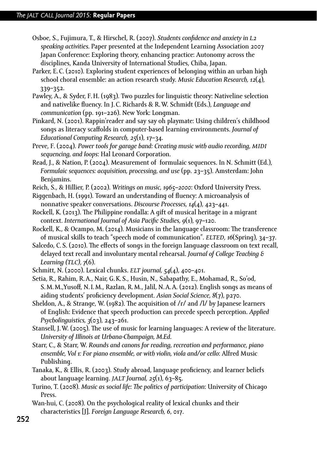- Osboe, S., Fujimura, T., & Hirschel, R. (2007). *Students confidence and anxiety in l2 speaking activities.* Paper presented at the Independent Learning Association 2007 Japan Conference: Exploring theory, enhancing practice: Autonomy across the disciplines, Kanda University of International Studies, Chiba, Japan.
- Parker, E.C. (2010). Exploring student experiences of belonging within an urban high school choral ensemble: an action research study. *Music Education Research, 12*(4), 339–352.
- Pawley, A., & Syder, F.H. (1983). Two puzzles for linguistic theory: Nativeline selection and nativelike fluency. In J.C. Richards & R.W. Schmidt (Eds.), *Language and communication* (pp. 191–226). New York: Longman.
- Pinkard, N. (2001). Rappin'reader and say say oh playmate: Using children's childhood songs as literacy scaffolds in computer-based learning environments. *Journal of Educational Computing Research, 25*(1), 17–34.
- Preve, F. (2004). *Power tools for garage band: Creating music with audio recording, midi sequencing, and loops*: Hal Leonard Corporation.
- Read, J., & Nation, P. (2004). Measurement of formulaic sequences. In N. Schmitt (Ed.), *Formulaic sequences: acquisition, processing, and use* (pp. 23–35). Amsterdam: John Benjamins.
- Reich, S., & Hillier, P. (2002). *Writings on music, 1965–2000*: Oxford University Press.
- Riggenbach, H. (1991). Toward an understanding of fluency: A microanalysis of nonnative speaker conversations. *Discourse Processes, 14*(4), 423–441.
- Rockell, K. (2013). The Philippine rondalla: A gift of musical heritage in a migrant context. *International Journal of Asia Pacific Studies, 9*(1), 97–120.
- Rockell, K., & Ocampo, M. (2014). Musicians in the language classroom: The transference of musical skills to teach "speech mode of communication". *elted, 16*(Spring), 34–37.
- Salcedo, C.S. (2010). The effects of songs in the foreign language classroom on text recall, delayed text recall and involuntary mental rehearsal. *Journal of College Teaching & Learning (tlc), 7*(6).
- Schmitt, N. (2000). Lexical chunks. *elt journal, 54*(4), 400–401.
- Setia, R., Rahim, R.A., Nair, G.K.S., Husin, N., Sabapathy, E., Mohamad, R., So'od, S.M.M.,Yusoff, N.I.M., Razlan, R.M., Jalil, N.A.A. (2012). English songs as means of aiding students' proficiency development. *Asian Social Science, 8*(7), p270.
- Sheldon, A., & Strange, W. (1982). The acquisition of /r/ and /l/ by Japanese learners of English: Evidence that speech production can precede speech perception. *Applied Psycholinguistics, 3*(03), 243–261.
- Stansell, J.W. (2005). The use of music for learning languages: A review of the literature. *University of Illinois at Urbana-Champaign, M.Ed.*
- Starr, C., & Starr, W. *Rounds and canons for reading, recreation and performance, piano ensemble, Vol 1: For piano ensemble, or with violin, viola and/or cello*: Alfred Music Publishing.
- Tanaka, K., & Ellis, R. (2003). Study abroad, language proficiency, and learner beliefs about language learning. *jalt Journal, 25*(1), 63–85.
- Turino, T. (2008). *Music as social life: The politics of participation*: University of Chicago Press.
- Wan-hui, C. (2008). On the psychological reality of lexical chunks and their characteristics [J]. *Foreign Language Research, 6*, 017.